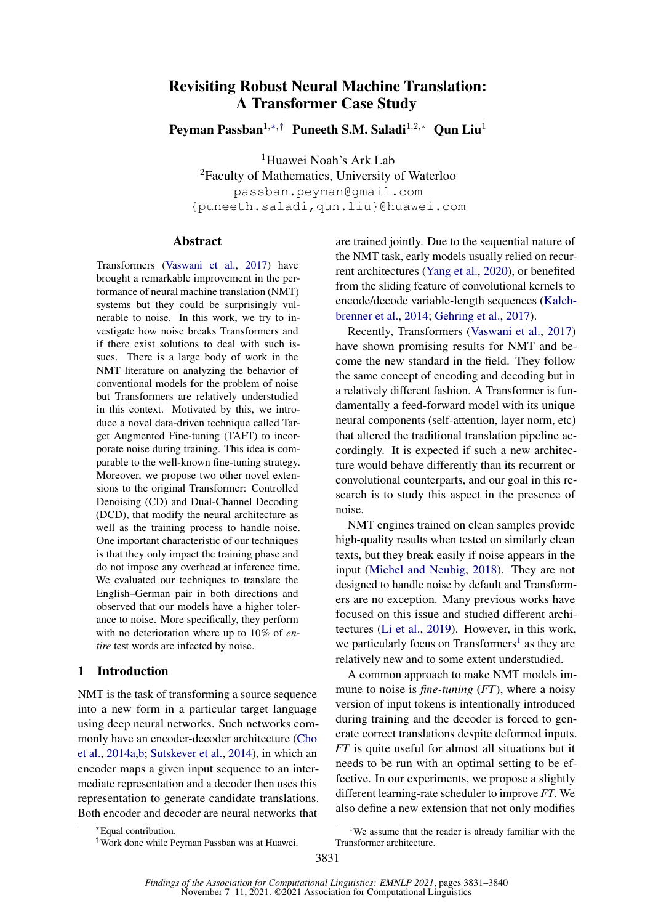# Revisiting Robust Neural Machine Translation: A Transformer Case Study

Peyman Passban<sup>1,∗,†</sup> Puneeth S.M. Saladi<sup>1,2,∗</sup> Oun Liu<sup>1</sup>

<sup>1</sup>Huawei Noah's Ark Lab <sup>2</sup>Faculty of Mathematics, University of Waterloo passban.peyman@gmail.com {puneeth.saladi,qun.liu}@huawei.com

## **Abstract**

Transformers [\(Vaswani et al.,](#page-9-0) [2017\)](#page-9-0) have brought a remarkable improvement in the performance of neural machine translation (NMT) systems but they could be surprisingly vulnerable to noise. In this work, we try to investigate how noise breaks Transformers and if there exist solutions to deal with such issues. There is a large body of work in the NMT literature on analyzing the behavior of conventional models for the problem of noise but Transformers are relatively understudied in this context. Motivated by this, we introduce a novel data-driven technique called Target Augmented Fine-tuning (TAFT) to incorporate noise during training. This idea is comparable to the well-known fine-tuning strategy. Moreover, we propose two other novel extensions to the original Transformer: Controlled Denoising (CD) and Dual-Channel Decoding (DCD), that modify the neural architecture as well as the training process to handle noise. One important characteristic of our techniques is that they only impact the training phase and do not impose any overhead at inference time. We evaluated our techniques to translate the English–German pair in both directions and observed that our models have a higher tolerance to noise. More specifically, they perform with no deterioration where up to 10% of *entire* test words are infected by noise.

# 1 Introduction

NMT is the task of transforming a source sequence into a new form in a particular target language using deep neural networks. Such networks commonly have an encoder-decoder architecture [\(Cho](#page-8-0) [et al.,](#page-8-0) [2014a,](#page-8-0)[b;](#page-8-1) [Sutskever et al.,](#page-9-1) [2014\)](#page-9-1), in which an encoder maps a given input sequence to an intermediate representation and a decoder then uses this representation to generate candidate translations. Both encoder and decoder are neural networks that are trained jointly. Due to the sequential nature of the NMT task, early models usually relied on recurrent architectures [\(Yang et al.,](#page-9-2) [2020\)](#page-9-2), or benefited from the sliding feature of convolutional kernels to encode/decode variable-length sequences [\(Kalch](#page-8-2)[brenner et al.,](#page-8-2) [2014;](#page-8-2) [Gehring et al.,](#page-8-3) [2017\)](#page-8-3).

Recently, Transformers [\(Vaswani et al.,](#page-9-0) [2017\)](#page-9-0) have shown promising results for NMT and become the new standard in the field. They follow the same concept of encoding and decoding but in a relatively different fashion. A Transformer is fundamentally a feed-forward model with its unique neural components (self-attention, layer norm, etc) that altered the traditional translation pipeline accordingly. It is expected if such a new architecture would behave differently than its recurrent or convolutional counterparts, and our goal in this research is to study this aspect in the presence of noise.

NMT engines trained on clean samples provide high-quality results when tested on similarly clean texts, but they break easily if noise appears in the input [\(Michel and Neubig,](#page-9-3) [2018\)](#page-9-3). They are not designed to handle noise by default and Transformers are no exception. Many previous works have focused on this issue and studied different architectures [\(Li et al.,](#page-9-4) [2019\)](#page-9-4). However, in this work, we particularly focus on Transformers<sup>[1](#page-0-0)</sup> as they are relatively new and to some extent understudied.

A common approach to make NMT models immune to noise is *fine-tuning* (*FT*), where a noisy version of input tokens is intentionally introduced during training and the decoder is forced to generate correct translations despite deformed inputs. *FT* is quite useful for almost all situations but it needs to be run with an optimal setting to be effective. In our experiments, we propose a slightly different learning-rate scheduler to improve *FT*. We also define a new extension that not only modifies

<sup>∗</sup>Equal contribution.

<sup>†</sup>Work done while Peyman Passban was at Huawei.

<span id="page-0-0"></span><sup>&</sup>lt;sup>1</sup>We assume that the reader is already familiar with the Transformer architecture.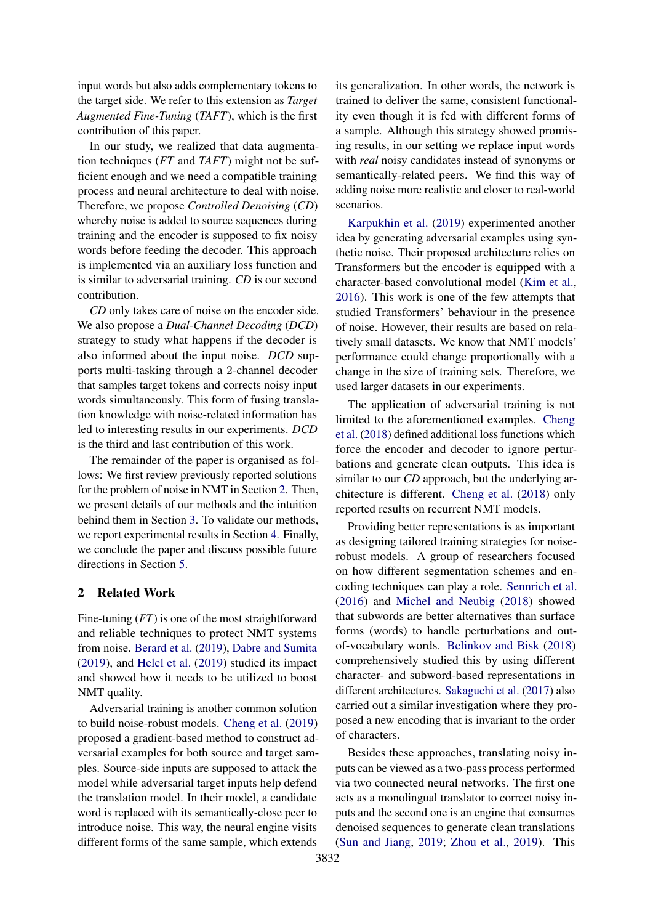input words but also adds complementary tokens to the target side. We refer to this extension as *Target Augmented Fine-Tuning* (*TAFT*), which is the first contribution of this paper.

In our study, we realized that data augmentation techniques (*FT* and *TAFT*) might not be sufficient enough and we need a compatible training process and neural architecture to deal with noise. Therefore, we propose *Controlled Denoising* (*CD*) whereby noise is added to source sequences during training and the encoder is supposed to fix noisy words before feeding the decoder. This approach is implemented via an auxiliary loss function and is similar to adversarial training. *CD* is our second contribution.

*CD* only takes care of noise on the encoder side. We also propose a *Dual-Channel Decoding* (*DCD*) strategy to study what happens if the decoder is also informed about the input noise. *DCD* supports multi-tasking through a 2-channel decoder that samples target tokens and corrects noisy input words simultaneously. This form of fusing translation knowledge with noise-related information has led to interesting results in our experiments. *DCD* is the third and last contribution of this work.

The remainder of the paper is organised as follows: We first review previously reported solutions for the problem of noise in NMT in Section [2.](#page-1-0) Then, we present details of our methods and the intuition behind them in Section [3.](#page-2-0) To validate our methods, we report experimental results in Section [4.](#page-4-0) Finally, we conclude the paper and discuss possible future directions in Section [5.](#page-7-0)

## <span id="page-1-0"></span>2 Related Work

Fine-tuning (*FT*) is one of the most straightforward and reliable techniques to protect NMT systems from noise. [Berard et al.](#page-8-4) [\(2019\)](#page-8-4), [Dabre and Sumita](#page-8-5) [\(2019\)](#page-8-5), and [Helcl et al.](#page-8-6) [\(2019\)](#page-8-6) studied its impact and showed how it needs to be utilized to boost NMT quality.

Adversarial training is another common solution to build noise-robust models. [Cheng et al.](#page-8-7) [\(2019\)](#page-8-7) proposed a gradient-based method to construct adversarial examples for both source and target samples. Source-side inputs are supposed to attack the model while adversarial target inputs help defend the translation model. In their model, a candidate word is replaced with its semantically-close peer to introduce noise. This way, the neural engine visits different forms of the same sample, which extends

its generalization. In other words, the network is trained to deliver the same, consistent functionality even though it is fed with different forms of a sample. Although this strategy showed promising results, in our setting we replace input words with *real* noisy candidates instead of synonyms or semantically-related peers. We find this way of adding noise more realistic and closer to real-world scenarios.

[Karpukhin et al.](#page-8-8) [\(2019\)](#page-8-8) experimented another idea by generating adversarial examples using synthetic noise. Their proposed architecture relies on Transformers but the encoder is equipped with a character-based convolutional model [\(Kim et al.,](#page-9-5) [2016\)](#page-9-5). This work is one of the few attempts that studied Transformers' behaviour in the presence of noise. However, their results are based on relatively small datasets. We know that NMT models' performance could change proportionally with a change in the size of training sets. Therefore, we used larger datasets in our experiments.

The application of adversarial training is not limited to the aforementioned examples. [Cheng](#page-8-9) [et al.](#page-8-9) [\(2018\)](#page-8-9) defined additional loss functions which force the encoder and decoder to ignore perturbations and generate clean outputs. This idea is similar to our *CD* approach, but the underlying architecture is different. [Cheng et al.](#page-8-9) [\(2018\)](#page-8-9) only reported results on recurrent NMT models.

Providing better representations is as important as designing tailored training strategies for noiserobust models. A group of researchers focused on how different segmentation schemes and encoding techniques can play a role. [Sennrich et al.](#page-9-6) [\(2016\)](#page-9-6) and [Michel and Neubig](#page-9-3) [\(2018\)](#page-9-3) showed that subwords are better alternatives than surface forms (words) to handle perturbations and outof-vocabulary words. [Belinkov and Bisk](#page-8-10) [\(2018\)](#page-8-10) comprehensively studied this by using different character- and subword-based representations in different architectures. [Sakaguchi et al.](#page-9-7) [\(2017\)](#page-9-7) also carried out a similar investigation where they proposed a new encoding that is invariant to the order of characters.

Besides these approaches, translating noisy inputs can be viewed as a two-pass process performed via two connected neural networks. The first one acts as a monolingual translator to correct noisy inputs and the second one is an engine that consumes denoised sequences to generate clean translations [\(Sun and Jiang,](#page-9-8) [2019;](#page-9-8) [Zhou et al.,](#page-9-9) [2019\)](#page-9-9). This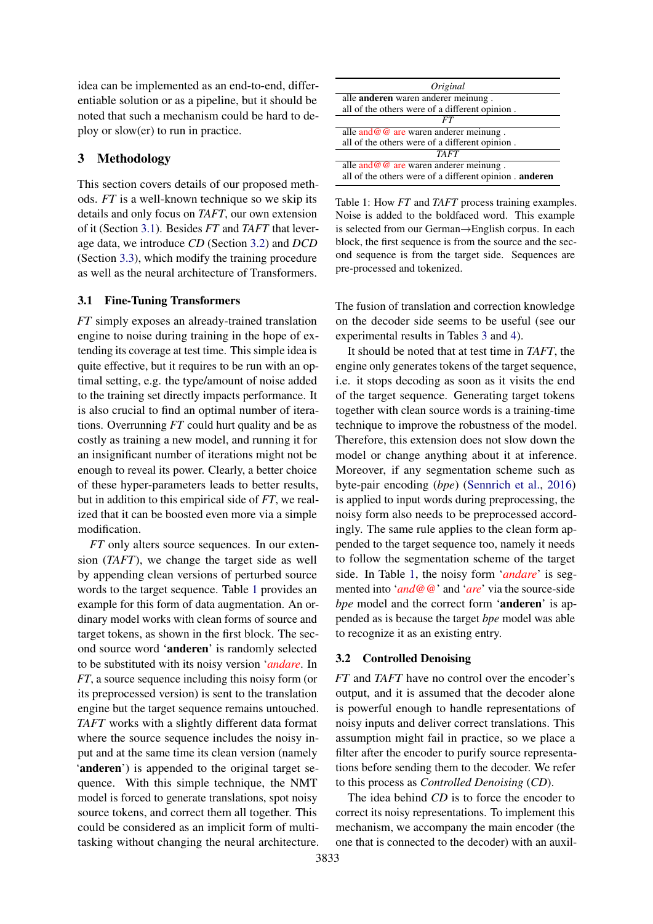idea can be implemented as an end-to-end, differentiable solution or as a pipeline, but it should be noted that such a mechanism could be hard to deploy or slow(er) to run in practice.

# <span id="page-2-0"></span>3 Methodology

This section covers details of our proposed methods. *FT* is a well-known technique so we skip its details and only focus on *TAFT*, our own extension of it (Section [3.1\)](#page-2-1). Besides *FT* and *TAFT* that leverage data, we introduce *CD* (Section [3.2\)](#page-2-2) and *DCD* (Section [3.3\)](#page-3-0), which modify the training procedure as well as the neural architecture of Transformers.

#### <span id="page-2-1"></span>3.1 Fine-Tuning Transformers

*FT* simply exposes an already-trained translation engine to noise during training in the hope of extending its coverage at test time. This simple idea is quite effective, but it requires to be run with an optimal setting, e.g. the type/amount of noise added to the training set directly impacts performance. It is also crucial to find an optimal number of iterations. Overrunning *FT* could hurt quality and be as costly as training a new model, and running it for an insignificant number of iterations might not be enough to reveal its power. Clearly, a better choice of these hyper-parameters leads to better results, but in addition to this empirical side of *FT*, we realized that it can be boosted even more via a simple modification.

*FT* only alters source sequences. In our extension (*TAFT*), we change the target side as well by appending clean versions of perturbed source words to the target sequence. Table [1](#page-2-3) provides an example for this form of data augmentation. An ordinary model works with clean forms of source and target tokens, as shown in the first block. The second source word 'anderen' is randomly selected to be substituted with its noisy version '*andare*. In *FT*, a source sequence including this noisy form (or its preprocessed version) is sent to the translation engine but the target sequence remains untouched. *TAFT* works with a slightly different data format where the source sequence includes the noisy input and at the same time its clean version (namely 'anderen') is appended to the original target sequence. With this simple technique, the NMT model is forced to generate translations, spot noisy source tokens, and correct them all together. This could be considered as an implicit form of multitasking without changing the neural architecture.

<span id="page-2-3"></span>

| Original                                                                                             |
|------------------------------------------------------------------------------------------------------|
| alle anderen waren anderer meinung.                                                                  |
| all of the others were of a different opinion.                                                       |
| FT                                                                                                   |
| alle $and @ @ are waren anderer meinung.$                                                            |
| all of the others were of a different opinion.                                                       |
| <b>TAFT</b>                                                                                          |
| alle and $@@@$ are waren anderer meinung.<br>all of the others were of a different opinion . anderen |

Table 1: How *FT* and *TAFT* process training examples. Noise is added to the boldfaced word. This example is selected from our German→English corpus. In each block, the first sequence is from the source and the second sequence is from the target side. Sequences are pre-processed and tokenized.

The fusion of translation and correction knowledge on the decoder side seems to be useful (see our experimental results in Tables [3](#page-7-1) and [4\)](#page-7-2).

It should be noted that at test time in *TAFT*, the engine only generates tokens of the target sequence, i.e. it stops decoding as soon as it visits the end of the target sequence. Generating target tokens together with clean source words is a training-time technique to improve the robustness of the model. Therefore, this extension does not slow down the model or change anything about it at inference. Moreover, if any segmentation scheme such as byte-pair encoding (*bpe*) [\(Sennrich et al.,](#page-9-6) [2016\)](#page-9-6) is applied to input words during preprocessing, the noisy form also needs to be preprocessed accordingly. The same rule applies to the clean form appended to the target sequence too, namely it needs to follow the segmentation scheme of the target side. In Table [1,](#page-2-3) the noisy form '*andare*' is segmented into '*and@@*' and '*are*' via the source-side *bpe* model and the correct form 'anderen' is appended as is because the target *bpe* model was able to recognize it as an existing entry.

#### <span id="page-2-2"></span>3.2 Controlled Denoising

*FT* and *TAFT* have no control over the encoder's output, and it is assumed that the decoder alone is powerful enough to handle representations of noisy inputs and deliver correct translations. This assumption might fail in practice, so we place a filter after the encoder to purify source representations before sending them to the decoder. We refer to this process as *Controlled Denoising* (*CD*).

The idea behind *CD* is to force the encoder to correct its noisy representations. To implement this mechanism, we accompany the main encoder (the one that is connected to the decoder) with an auxil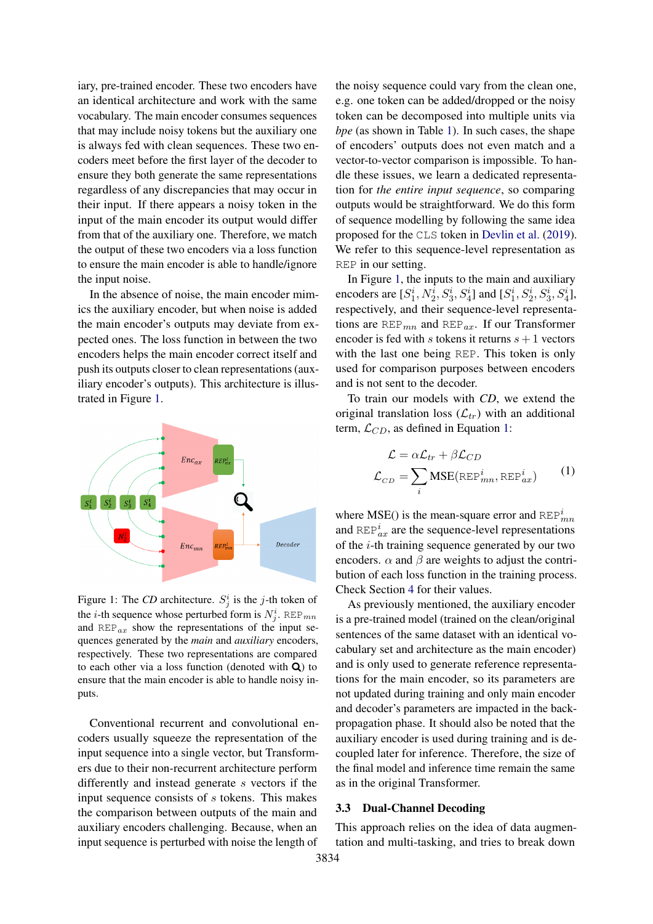iary, pre-trained encoder. These two encoders have an identical architecture and work with the same vocabulary. The main encoder consumes sequences that may include noisy tokens but the auxiliary one is always fed with clean sequences. These two encoders meet before the first layer of the decoder to ensure they both generate the same representations regardless of any discrepancies that may occur in their input. If there appears a noisy token in the input of the main encoder its output would differ from that of the auxiliary one. Therefore, we match the output of these two encoders via a loss function to ensure the main encoder is able to handle/ignore the input noise.

In the absence of noise, the main encoder mimics the auxiliary encoder, but when noise is added the main encoder's outputs may deviate from expected ones. The loss function in between the two encoders helps the main encoder correct itself and push its outputs closer to clean representations (auxiliary encoder's outputs). This architecture is illustrated in Figure [1.](#page-3-1)

<span id="page-3-1"></span>

Figure 1: The *CD* architecture.  $S_j^i$  is the *j*-th token of the *i*-th sequence whose perturbed form is  $N_j^i$ . REP<sub>mn</sub> and  $REP_{ax}$  show the representations of the input sequences generated by the *main* and *auxiliary* encoders, respectively. These two representations are compared to each other via a loss function (denoted with  $Q$ ) to ensure that the main encoder is able to handle noisy inputs.

Conventional recurrent and convolutional encoders usually squeeze the representation of the input sequence into a single vector, but Transformers due to their non-recurrent architecture perform differently and instead generate s vectors if the input sequence consists of s tokens. This makes the comparison between outputs of the main and auxiliary encoders challenging. Because, when an input sequence is perturbed with noise the length of

the noisy sequence could vary from the clean one, e.g. one token can be added/dropped or the noisy token can be decomposed into multiple units via *bpe* (as shown in Table [1\)](#page-2-3). In such cases, the shape of encoders' outputs does not even match and a vector-to-vector comparison is impossible. To handle these issues, we learn a dedicated representation for *the entire input sequence*, so comparing outputs would be straightforward. We do this form of sequence modelling by following the same idea proposed for the CLS token in [Devlin et al.](#page-8-11) [\(2019\)](#page-8-11). We refer to this sequence-level representation as REP in our setting.

In Figure [1,](#page-3-1) the inputs to the main and auxiliary encoders are  $[S_1^i, N_2^i, S_3^i, S_4^i]$  and  $[S_1^i, S_2^i, S_3^i, S_4^i]$ , respectively, and their sequence-level representations are  $REP_{mn}$  and  $REP_{ax}$ . If our Transformer encoder is fed with s tokens it returns  $s + 1$  vectors with the last one being REP. This token is only used for comparison purposes between encoders and is not sent to the decoder.

To train our models with *CD*, we extend the original translation loss  $(\mathcal{L}_{tr})$  with an additional term,  $\mathcal{L}_{CD}$ , as defined in Equation [1:](#page-3-2)

<span id="page-3-2"></span>
$$
\mathcal{L} = \alpha \mathcal{L}_{tr} + \beta \mathcal{L}_{CD}
$$

$$
\mathcal{L}_{CD} = \sum_{i} \text{MSE}(\text{REF}_{mn}^{i}, \text{REF}_{ax}^{i})
$$
(1)

where MSE() is the mean-square error and  $REF^{i}_{mn}$ and  $\text{REF}_{ax}^{i}$  are the sequence-level representations of the i-th training sequence generated by our two encoders.  $\alpha$  and  $\beta$  are weights to adjust the contribution of each loss function in the training process. Check Section [4](#page-4-0) for their values.

As previously mentioned, the auxiliary encoder is a pre-trained model (trained on the clean/original sentences of the same dataset with an identical vocabulary set and architecture as the main encoder) and is only used to generate reference representations for the main encoder, so its parameters are not updated during training and only main encoder and decoder's parameters are impacted in the backpropagation phase. It should also be noted that the auxiliary encoder is used during training and is decoupled later for inference. Therefore, the size of the final model and inference time remain the same as in the original Transformer.

#### <span id="page-3-0"></span>3.3 Dual-Channel Decoding

This approach relies on the idea of data augmentation and multi-tasking, and tries to break down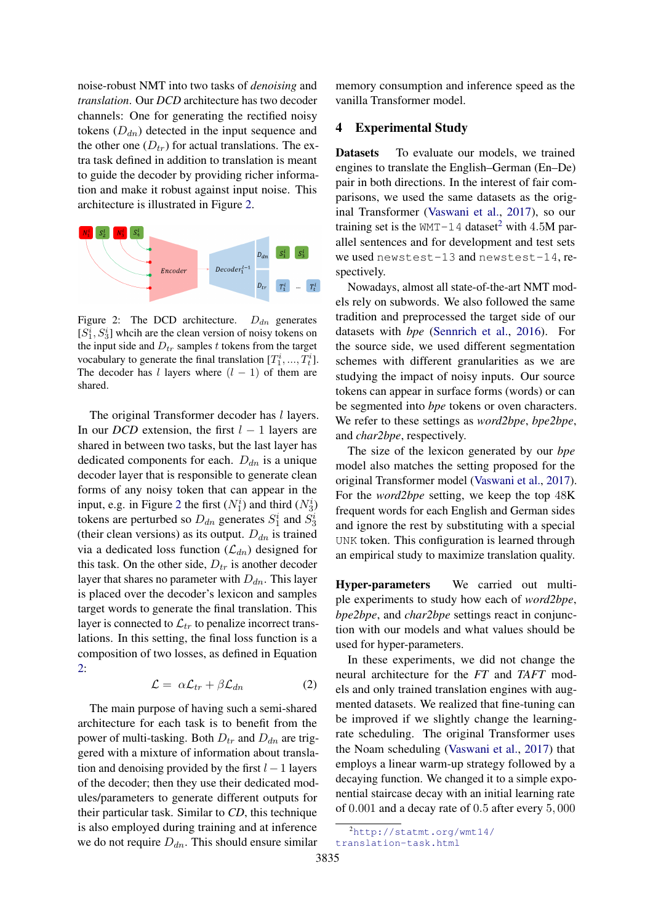noise-robust NMT into two tasks of *denoising* and *translation*. Our *DCD* architecture has two decoder channels: One for generating the rectified noisy tokens  $(D_{dn})$  detected in the input sequence and the other one  $(D_{tr})$  for actual translations. The extra task defined in addition to translation is meant to guide the decoder by providing richer information and make it robust against input noise. This architecture is illustrated in Figure [2.](#page-4-1)

<span id="page-4-1"></span>

Figure 2: The DCD architecture.  $D_{dn}$  generates  $[S_1^i, S_3^i]$  whcih are the clean version of noisy tokens on the input side and  $D_{tr}$  samples t tokens from the target vocabulary to generate the final translation  $[T_1^i, ..., T_t^i]$ . The decoder has l layers where  $(l - 1)$  of them are shared.

The original Transformer decoder has *l* layers. In our *DCD* extension, the first  $l - 1$  layers are shared in between two tasks, but the last layer has dedicated components for each.  $D_{dn}$  is a unique decoder layer that is responsible to generate clean forms of any noisy token that can appear in the input, e.g. in Figure [2](#page-4-1) the first  $(N_1^i)$  and third  $(N_3^i)$ tokens are perturbed so  $D_{dn}$  generates  $S_1^i$  and  $S_3^i$ (their clean versions) as its output.  $D_{dn}$  is trained via a dedicated loss function  $(\mathcal{L}_{dn})$  designed for this task. On the other side,  $D_{tr}$  is another decoder layer that shares no parameter with  $D_{dn}$ . This layer is placed over the decoder's lexicon and samples target words to generate the final translation. This layer is connected to  $\mathcal{L}_{tr}$  to penalize incorrect translations. In this setting, the final loss function is a composition of two losses, as defined in Equation [2:](#page-4-2)

$$
\mathcal{L} = \alpha \mathcal{L}_{tr} + \beta \mathcal{L}_{dn} \tag{2}
$$

<span id="page-4-2"></span>The main purpose of having such a semi-shared architecture for each task is to benefit from the power of multi-tasking. Both  $D_{tr}$  and  $D_{dn}$  are triggered with a mixture of information about translation and denoising provided by the first  $l - 1$  layers of the decoder; then they use their dedicated modules/parameters to generate different outputs for their particular task. Similar to *CD*, this technique is also employed during training and at inference we do not require  $D_{dn}$ . This should ensure similar

memory consumption and inference speed as the vanilla Transformer model.

## <span id="page-4-0"></span>4 Experimental Study

Datasets To evaluate our models, we trained engines to translate the English–German (En–De) pair in both directions. In the interest of fair comparisons, we used the same datasets as the original Transformer [\(Vaswani et al.,](#page-9-0) [2017\)](#page-9-0), so our training set is the  $WMT-14$  dataset<sup>[2](#page-4-3)</sup> with 4.5M parallel sentences and for development and test sets we used newstest-13 and newstest-14, respectively.

Nowadays, almost all state-of-the-art NMT models rely on subwords. We also followed the same tradition and preprocessed the target side of our datasets with *bpe* [\(Sennrich et al.,](#page-9-6) [2016\)](#page-9-6). For the source side, we used different segmentation schemes with different granularities as we are studying the impact of noisy inputs. Our source tokens can appear in surface forms (words) or can be segmented into *bpe* tokens or oven characters. We refer to these settings as *word2bpe*, *bpe2bpe*, and *char2bpe*, respectively.

The size of the lexicon generated by our *bpe* model also matches the setting proposed for the original Transformer model [\(Vaswani et al.,](#page-9-0) [2017\)](#page-9-0). For the *word2bpe* setting, we keep the top 48K frequent words for each English and German sides and ignore the rest by substituting with a special UNK token. This configuration is learned through an empirical study to maximize translation quality.

Hyper-parameters We carried out multiple experiments to study how each of *word2bpe*, *bpe2bpe*, and *char2bpe* settings react in conjunction with our models and what values should be used for hyper-parameters.

In these experiments, we did not change the neural architecture for the *FT* and *TAFT* models and only trained translation engines with augmented datasets. We realized that fine-tuning can be improved if we slightly change the learningrate scheduling. The original Transformer uses the Noam scheduling [\(Vaswani et al.,](#page-9-0) [2017\)](#page-9-0) that employs a linear warm-up strategy followed by a decaying function. We changed it to a simple exponential staircase decay with an initial learning rate of 0.001 and a decay rate of 0.5 after every 5, 000

<span id="page-4-3"></span><sup>2</sup>[http://statmt.org/wmt14/](http://statmt.org/wmt14/translation-task.html) [translation-task.html](http://statmt.org/wmt14/translation-task.html)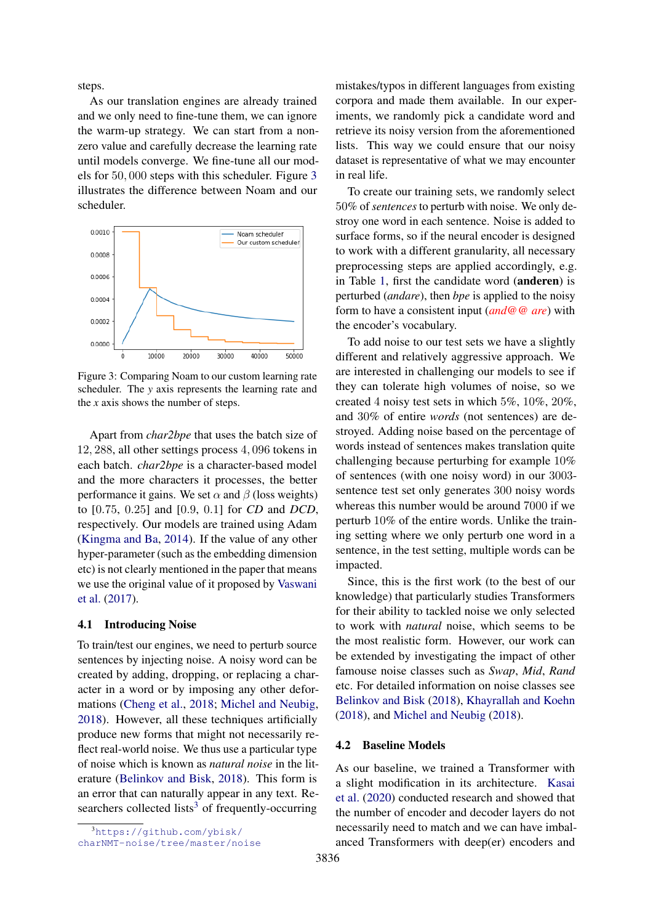steps.

As our translation engines are already trained and we only need to fine-tune them, we can ignore the warm-up strategy. We can start from a nonzero value and carefully decrease the learning rate until models converge. We fine-tune all our models for 50, 000 steps with this scheduler. Figure [3](#page-5-0) illustrates the difference between Noam and our scheduler.

<span id="page-5-0"></span>

Figure 3: Comparing Noam to our custom learning rate scheduler. The *y* axis represents the learning rate and the *x* axis shows the number of steps.

Apart from *char2bpe* that uses the batch size of 12, 288, all other settings process 4, 096 tokens in each batch. *char2bpe* is a character-based model and the more characters it processes, the better performance it gains. We set  $\alpha$  and  $\beta$  (loss weights) to [0.75, 0.25] and [0.9, 0.1] for *CD* and *DCD*, respectively. Our models are trained using Adam [\(Kingma and Ba,](#page-9-10) [2014\)](#page-9-10). If the value of any other hyper-parameter (such as the embedding dimension etc) is not clearly mentioned in the paper that means we use the original value of it proposed by [Vaswani](#page-9-0) [et al.](#page-9-0) [\(2017\)](#page-9-0).

#### 4.1 Introducing Noise

To train/test our engines, we need to perturb source sentences by injecting noise. A noisy word can be created by adding, dropping, or replacing a character in a word or by imposing any other deformations [\(Cheng et al.,](#page-8-9) [2018;](#page-8-9) [Michel and Neubig,](#page-9-3) [2018\)](#page-9-3). However, all these techniques artificially produce new forms that might not necessarily reflect real-world noise. We thus use a particular type of noise which is known as *natural noise* in the literature [\(Belinkov and Bisk,](#page-8-10) [2018\)](#page-8-10). This form is an error that can naturally appear in any text. Re-searchers collected lists<sup>[3](#page-5-1)</sup> of frequently-occurring

mistakes/typos in different languages from existing corpora and made them available. In our experiments, we randomly pick a candidate word and retrieve its noisy version from the aforementioned lists. This way we could ensure that our noisy dataset is representative of what we may encounter in real life.

To create our training sets, we randomly select 50% of *sentences* to perturb with noise. We only destroy one word in each sentence. Noise is added to surface forms, so if the neural encoder is designed to work with a different granularity, all necessary preprocessing steps are applied accordingly, e.g. in Table [1,](#page-2-3) first the candidate word (anderen) is perturbed (*andare*), then *bpe* is applied to the noisy form to have a consistent input (*and@@ are*) with the encoder's vocabulary.

To add noise to our test sets we have a slightly different and relatively aggressive approach. We are interested in challenging our models to see if they can tolerate high volumes of noise, so we created 4 noisy test sets in which 5%, 10%, 20%, and 30% of entire *words* (not sentences) are destroyed. Adding noise based on the percentage of words instead of sentences makes translation quite challenging because perturbing for example 10% of sentences (with one noisy word) in our 3003 sentence test set only generates 300 noisy words whereas this number would be around 7000 if we perturb 10% of the entire words. Unlike the training setting where we only perturb one word in a sentence, in the test setting, multiple words can be impacted.

Since, this is the first work (to the best of our knowledge) that particularly studies Transformers for their ability to tackled noise we only selected to work with *natural* noise, which seems to be the most realistic form. However, our work can be extended by investigating the impact of other famouse noise classes such as *Swap*, *Mid*, *Rand* etc. For detailed information on noise classes see [Belinkov and Bisk](#page-8-10) [\(2018\)](#page-8-10), [Khayrallah and Koehn](#page-9-11) [\(2018\)](#page-9-11), and [Michel and Neubig](#page-9-3) [\(2018\)](#page-9-3).

## 4.2 Baseline Models

As our baseline, we trained a Transformer with a slight modification in its architecture. [Kasai](#page-8-12) [et al.](#page-8-12) [\(2020\)](#page-8-12) conducted research and showed that the number of encoder and decoder layers do not necessarily need to match and we can have imbalanced Transformers with deep(er) encoders and

<span id="page-5-1"></span><sup>3</sup>[https://github.com/ybisk/](https://github.com/ybisk/charNMT-noise/tree/master/noise)

[charNMT-noise/tree/master/noise](https://github.com/ybisk/charNMT-noise/tree/master/noise)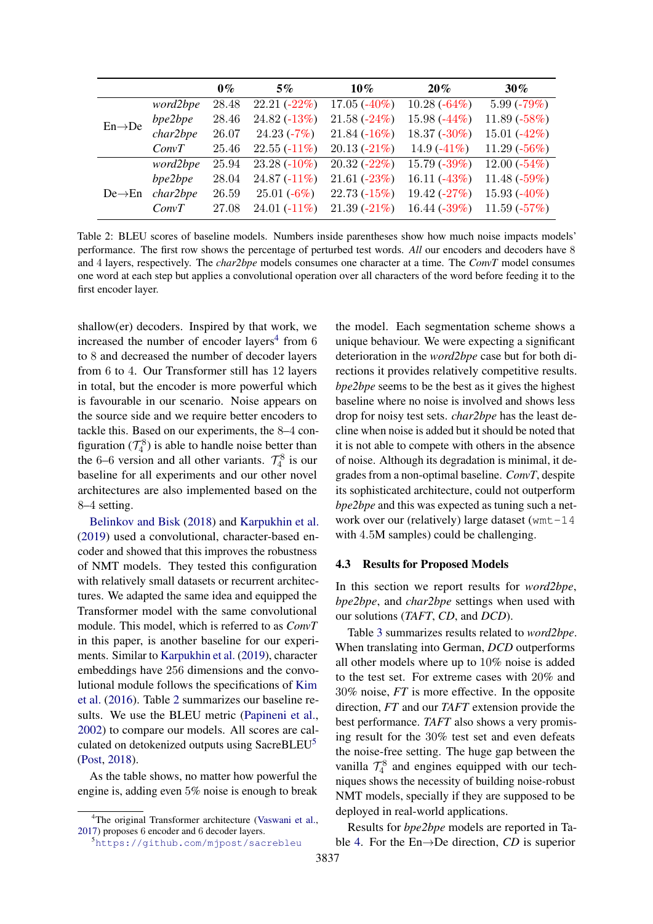<span id="page-6-1"></span>

|                     |          | $0\%$ | 5%             | $10\%$         | 20%            | $30\%$          |
|---------------------|----------|-------|----------------|----------------|----------------|-----------------|
| $En \rightarrow De$ | word2bpe | 28.48 | $22.21(-22%)$  | $17.05(-40\%)$ | $10.28(-64%)$  | $5.99(-79%)$    |
|                     | bpe2bpe  | 28.46 | $24.82(-13%)$  | $21.58(-24%)$  | 15.98 $(-44%)$ | 11.89 $(-58%)$  |
|                     | char2bpe | 26.07 | $24.23(-7%)$   | $21.84(-16%)$  | $18.37(-30\%)$ | 15.01 $(-42%)$  |
|                     | ConvT    | 25.46 | $22.55(-11\%)$ | $20.13(-21%)$  | 14.9 $(-41\%)$ | 11.29 $(-56%)$  |
| $De \rightarrow En$ | word2bpe | 25.94 | $23.28(-10\%)$ | $20.32(-22%)$  | $15.79(-39%)$  | 12.00 $(-54\%)$ |
|                     | bpe2bpe  | 28.04 | $24.87(-11\%)$ | $21.61(-23%)$  | 16.11 $(-43%)$ | 11.48 $(-59%)$  |
|                     | char2bpe | 26.59 | $25.01(-6%)$   | $22.73(-15%)$  | $19.42(-27%)$  | 15.93 $(-40\%)$ |
|                     | ConvT    | 27.08 | $24.01(-11\%)$ | $21.39(-21%)$  | 16.44 $(-39%)$ | $11.59(-57%)$   |

Table 2: BLEU scores of baseline models. Numbers inside parentheses show how much noise impacts models' performance. The first row shows the percentage of perturbed test words. *All* our encoders and decoders have 8 and 4 layers, respectively. The *char2bpe* models consumes one character at a time. The *ConvT* model consumes one word at each step but applies a convolutional operation over all characters of the word before feeding it to the first encoder layer.

shallow(er) decoders. Inspired by that work, we increased the number of encoder layers<sup>[4](#page-6-0)</sup> from  $6$ to 8 and decreased the number of decoder layers from 6 to 4. Our Transformer still has 12 layers in total, but the encoder is more powerful which is favourable in our scenario. Noise appears on the source side and we require better encoders to tackle this. Based on our experiments, the 8–4 configuration  $(T_4^8)$  is able to handle noise better than the 6–6 version and all other variants.  $\mathcal{T}_4^8$  is our baseline for all experiments and our other novel architectures are also implemented based on the 8–4 setting.

[Belinkov and Bisk](#page-8-10) [\(2018\)](#page-8-10) and [Karpukhin et al.](#page-8-8) [\(2019\)](#page-8-8) used a convolutional, character-based encoder and showed that this improves the robustness of NMT models. They tested this configuration with relatively small datasets or recurrent architectures. We adapted the same idea and equipped the Transformer model with the same convolutional module. This model, which is referred to as *ConvT* in this paper, is another baseline for our experiments. Similar to [Karpukhin et al.](#page-8-8) [\(2019\)](#page-8-8), character embeddings have 256 dimensions and the convolutional module follows the specifications of [Kim](#page-9-5) [et al.](#page-9-5) [\(2016\)](#page-9-5). Table [2](#page-6-1) summarizes our baseline results. We use the BLEU metric [\(Papineni et al.,](#page-9-12) [2002\)](#page-9-12) to compare our models. All scores are cal-culated on detokenized outputs using SacreBLEU<sup>[5](#page-6-2)</sup> [\(Post,](#page-9-13) [2018\)](#page-9-13).

As the table shows, no matter how powerful the engine is, adding even 5% noise is enough to break the model. Each segmentation scheme shows a unique behaviour. We were expecting a significant deterioration in the *word2bpe* case but for both directions it provides relatively competitive results. *bpe2bpe* seems to be the best as it gives the highest baseline where no noise is involved and shows less drop for noisy test sets. *char2bpe* has the least decline when noise is added but it should be noted that it is not able to compete with others in the absence of noise. Although its degradation is minimal, it degrades from a non-optimal baseline. *ConvT*, despite its sophisticated architecture, could not outperform *bpe2bpe* and this was expected as tuning such a network over our (relatively) large dataset (wmt-14 with 4.5M samples) could be challenging.

#### 4.3 Results for Proposed Models

In this section we report results for *word2bpe*, *bpe2bpe*, and *char2bpe* settings when used with our solutions (*TAFT*, *CD*, and *DCD*).

Table [3](#page-7-1) summarizes results related to *word2bpe*. When translating into German, *DCD* outperforms all other models where up to 10% noise is added to the test set. For extreme cases with 20% and 30% noise, *FT* is more effective. In the opposite direction, *FT* and our *TAFT* extension provide the best performance. *TAFT* also shows a very promising result for the 30% test set and even defeats the noise-free setting. The huge gap between the vanilla  $\mathcal{T}_4^8$  and engines equipped with our techniques shows the necessity of building noise-robust NMT models, specially if they are supposed to be deployed in real-world applications.

Results for *bpe2bpe* models are reported in Table [4.](#page-7-2) For the En→De direction, *CD* is superior

<span id="page-6-0"></span><sup>&</sup>lt;sup>4</sup>The original Transformer architecture [\(Vaswani et al.,](#page-9-0) [2017\)](#page-9-0) proposes 6 encoder and 6 decoder layers.

<span id="page-6-2"></span><sup>5</sup><https://github.com/mjpost/sacrebleu>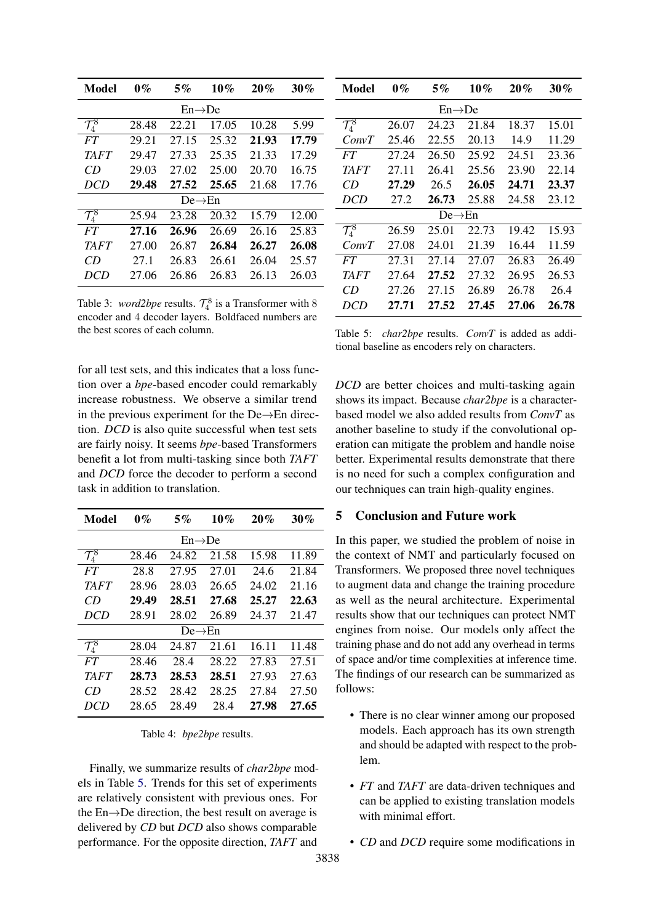<span id="page-7-1"></span>

| Model               | $0\%$ | $5\%$ | 10%   | 20%   | $30\%$ |  |
|---------------------|-------|-------|-------|-------|--------|--|
| $En \rightarrow De$ |       |       |       |       |        |  |
| $\mathcal{T}^8_4$   | 28.48 | 22.21 | 17.05 | 10.28 | 5.99   |  |
| FT                  | 29.21 | 27.15 | 25.32 | 21.93 | 17.79  |  |
| TAFT                | 29.47 | 27.33 | 25.35 | 21.33 | 17.29  |  |
| CD                  | 29.03 | 27.02 | 25.00 | 20.70 | 16.75  |  |
| DCD                 | 29.48 | 27.52 | 25.65 | 21.68 | 17.76  |  |
| $De \rightarrow En$ |       |       |       |       |        |  |
| $\mathcal{T}^8_4$   | 25.94 | 23.28 | 20.32 | 15.79 | 12.00  |  |
| FT.                 | 27.16 | 26.96 | 26.69 | 26.16 | 25.83  |  |
| <i>TAFT</i>         | 27.00 | 26.87 | 26.84 | 26.27 | 26.08  |  |
| CD                  | 27.1  | 26.83 | 26.61 | 26.04 | 25.57  |  |
| DCD                 | 27.06 | 26.86 | 26.83 | 26.13 | 26.03  |  |

Table 3: *word2bpe* results.  $\mathcal{T}_4^8$  is a Transformer with 8 encoder and 4 decoder layers. Boldfaced numbers are the best scores of each column.

for all test sets, and this indicates that a loss function over a *bpe*-based encoder could remarkably increase robustness. We observe a similar trend in the previous experiment for the De→En direction. *DCD* is also quite successful when test sets are fairly noisy. It seems *bpe*-based Transformers benefit a lot from multi-tasking since both *TAFT* and *DCD* force the decoder to perform a second task in addition to translation.

<span id="page-7-2"></span>

| Model                     | $0\%$ | 5%    | 10%   | 20%   | $30\%$ |  |
|---------------------------|-------|-------|-------|-------|--------|--|
| $En \rightarrow De$       |       |       |       |       |        |  |
| $\mathcal{T}_4^{\bar{8}}$ | 28.46 | 24.82 | 21.58 | 15.98 | 11.89  |  |
| FT.                       | 28.8  | 27.95 | 27.01 | 24.6  | 21.84  |  |
| <i>TAFT</i>               | 28.96 | 28.03 | 26.65 | 24.02 | 21.16  |  |
| CD                        | 29.49 | 28.51 | 27.68 | 25.27 | 22.63  |  |
| DCD                       | 28.91 | 28.02 | 26.89 | 24.37 | 21.47  |  |
| $De \rightarrow En$       |       |       |       |       |        |  |
| $\mathcal{T}^{\bar{8}}_4$ | 28.04 | 24.87 | 21.61 | 16.11 | 11.48  |  |
| FT                        | 28.46 | 28.4  | 28.22 | 27.83 | 27.51  |  |
| <b>TAFT</b>               | 28.73 | 28.53 | 28.51 | 27.93 | 27.63  |  |
| CD                        | 28.52 | 28.42 | 28.25 | 27.84 | 27.50  |  |
| DCD                       | 28.65 | 28.49 | 28.4  | 27.98 | 27.65  |  |

Table 4: *bpe2bpe* results.

Finally, we summarize results of *char2bpe* models in Table [5.](#page-7-3) Trends for this set of experiments are relatively consistent with previous ones. For the En→De direction, the best result on average is delivered by *CD* but *DCD* also shows comparable performance. For the opposite direction, *TAFT* and

<span id="page-7-3"></span>

| <b>Model</b>                 | $0\%$ | 5%    | 10%   | 20%   | $30\%$ |  |
|------------------------------|-------|-------|-------|-------|--------|--|
| $En \rightarrow De$          |       |       |       |       |        |  |
| $\overline{\mathcal{T}^8_4}$ | 26.07 | 24.23 | 21.84 | 18.37 | 15.01  |  |
| ConvT                        | 25.46 | 22.55 | 20.13 | 14.9  | 11.29  |  |
| FT                           | 27.24 | 26.50 | 25.92 | 24.51 | 23.36  |  |
| TAFT                         | 27.11 | 26.41 | 25.56 | 23.90 | 22.14  |  |
| CD                           | 27.29 | 26.5  | 26.05 | 24.71 | 23.37  |  |
| DCD                          | 27.2  | 26.73 | 25.88 | 24.58 | 23.12  |  |
| $De \rightarrow En$          |       |       |       |       |        |  |
| $\mathcal{T}^8_4$            | 26.59 | 25.01 | 22.73 | 19.42 | 15.93  |  |
| ConvT                        | 27.08 | 24.01 | 21.39 | 16.44 | 11.59  |  |
| FT                           | 27.31 | 27.14 | 27.07 | 26.83 | 26.49  |  |
| TAFT                         | 27.64 | 27.52 | 27.32 | 26.95 | 26.53  |  |
| CD                           | 27.26 | 27.15 | 26.89 | 26.78 | 26.4   |  |
| DCD                          | 27.71 | 27.52 | 27.45 | 27.06 | 26.78  |  |

Table 5: *char2bpe* results. *ConvT* is added as additional baseline as encoders rely on characters.

*DCD* are better choices and multi-tasking again shows its impact. Because *char2bpe* is a characterbased model we also added results from *ConvT* as another baseline to study if the convolutional operation can mitigate the problem and handle noise better. Experimental results demonstrate that there is no need for such a complex configuration and our techniques can train high-quality engines.

# <span id="page-7-0"></span>5 Conclusion and Future work

In this paper, we studied the problem of noise in the context of NMT and particularly focused on Transformers. We proposed three novel techniques to augment data and change the training procedure as well as the neural architecture. Experimental results show that our techniques can protect NMT engines from noise. Our models only affect the training phase and do not add any overhead in terms of space and/or time complexities at inference time. The findings of our research can be summarized as follows:

- There is no clear winner among our proposed models. Each approach has its own strength and should be adapted with respect to the problem.
- *FT* and *TAFT* are data-driven techniques and can be applied to existing translation models with minimal effort.
- *CD* and *DCD* require some modifications in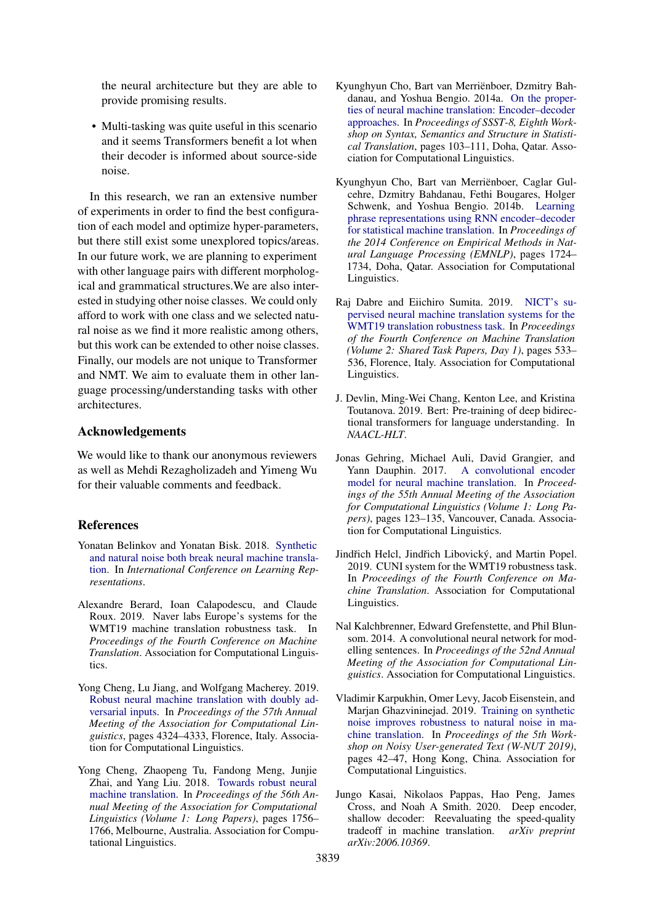the neural architecture but they are able to provide promising results.

• Multi-tasking was quite useful in this scenario and it seems Transformers benefit a lot when their decoder is informed about source-side noise.

In this research, we ran an extensive number of experiments in order to find the best configuration of each model and optimize hyper-parameters, but there still exist some unexplored topics/areas. In our future work, we are planning to experiment with other language pairs with different morphological and grammatical structures.We are also interested in studying other noise classes. We could only afford to work with one class and we selected natural noise as we find it more realistic among others, but this work can be extended to other noise classes. Finally, our models are not unique to Transformer and NMT. We aim to evaluate them in other language processing/understanding tasks with other architectures.

## Acknowledgements

We would like to thank our anonymous reviewers as well as Mehdi Rezagholizadeh and Yimeng Wu for their valuable comments and feedback.

## References

- <span id="page-8-10"></span>Yonatan Belinkov and Yonatan Bisk. 2018. [Synthetic](https://openreview.net/forum?id=BJ8vJebC-) [and natural noise both break neural machine transla](https://openreview.net/forum?id=BJ8vJebC-)[tion.](https://openreview.net/forum?id=BJ8vJebC-) In *International Conference on Learning Representations*.
- <span id="page-8-4"></span>Alexandre Berard, Ioan Calapodescu, and Claude Roux. 2019. Naver labs Europe's systems for the WMT19 machine translation robustness task. In *Proceedings of the Fourth Conference on Machine Translation*. Association for Computational Linguistics.
- <span id="page-8-7"></span>Yong Cheng, Lu Jiang, and Wolfgang Macherey. 2019. [Robust neural machine translation with doubly ad](https://doi.org/10.18653/v1/P19-1425)[versarial inputs.](https://doi.org/10.18653/v1/P19-1425) In *Proceedings of the 57th Annual Meeting of the Association for Computational Linguistics*, pages 4324–4333, Florence, Italy. Association for Computational Linguistics.
- <span id="page-8-9"></span>Yong Cheng, Zhaopeng Tu, Fandong Meng, Junjie Zhai, and Yang Liu. 2018. [Towards robust neural](https://doi.org/10.18653/v1/P18-1163) [machine translation.](https://doi.org/10.18653/v1/P18-1163) In *Proceedings of the 56th Annual Meeting of the Association for Computational Linguistics (Volume 1: Long Papers)*, pages 1756– 1766, Melbourne, Australia. Association for Computational Linguistics.
- <span id="page-8-0"></span>Kyunghyun Cho, Bart van Merriënboer, Dzmitry Bahdanau, and Yoshua Bengio. 2014a. [On the proper](https://doi.org/10.3115/v1/W14-4012)[ties of neural machine translation: Encoder–decoder](https://doi.org/10.3115/v1/W14-4012) [approaches.](https://doi.org/10.3115/v1/W14-4012) In *Proceedings of SSST-8, Eighth Workshop on Syntax, Semantics and Structure in Statistical Translation*, pages 103–111, Doha, Qatar. Association for Computational Linguistics.
- <span id="page-8-1"></span>Kyunghyun Cho, Bart van Merriënboer, Caglar Gulcehre, Dzmitry Bahdanau, Fethi Bougares, Holger Schwenk, and Yoshua Bengio. 2014b. [Learning](https://doi.org/10.3115/v1/D14-1179) [phrase representations using RNN encoder–decoder](https://doi.org/10.3115/v1/D14-1179) [for statistical machine translation.](https://doi.org/10.3115/v1/D14-1179) In *Proceedings of the 2014 Conference on Empirical Methods in Natural Language Processing (EMNLP)*, pages 1724– 1734, Doha, Qatar. Association for Computational Linguistics.
- <span id="page-8-5"></span>Raj Dabre and Eiichiro Sumita. 2019. [NICT's su](https://doi.org/10.18653/v1/W19-5362)[pervised neural machine translation systems for the](https://doi.org/10.18653/v1/W19-5362) [WMT19 translation robustness task.](https://doi.org/10.18653/v1/W19-5362) In *Proceedings of the Fourth Conference on Machine Translation (Volume 2: Shared Task Papers, Day 1)*, pages 533– 536, Florence, Italy. Association for Computational Linguistics.
- <span id="page-8-11"></span>J. Devlin, Ming-Wei Chang, Kenton Lee, and Kristina Toutanova. 2019. Bert: Pre-training of deep bidirectional transformers for language understanding. In *NAACL-HLT*.
- <span id="page-8-3"></span>Jonas Gehring, Michael Auli, David Grangier, and Yann Dauphin. 2017. [A convolutional encoder](https://doi.org/10.18653/v1/P17-1012) [model for neural machine translation.](https://doi.org/10.18653/v1/P17-1012) In *Proceedings of the 55th Annual Meeting of the Association for Computational Linguistics (Volume 1: Long Papers)*, pages 123–135, Vancouver, Canada. Association for Computational Linguistics.
- <span id="page-8-6"></span>Jindřich Helcl, Jindřich Libovický, and Martin Popel. 2019. CUNI system for the WMT19 robustness task. In *Proceedings of the Fourth Conference on Machine Translation*. Association for Computational Linguistics.
- <span id="page-8-2"></span>Nal Kalchbrenner, Edward Grefenstette, and Phil Blunsom. 2014. A convolutional neural network for modelling sentences. In *Proceedings of the 52nd Annual Meeting of the Association for Computational Linguistics*. Association for Computational Linguistics.
- <span id="page-8-8"></span>Vladimir Karpukhin, Omer Levy, Jacob Eisenstein, and Marjan Ghazvininejad. 2019. [Training on synthetic](https://doi.org/10.18653/v1/D19-5506) [noise improves robustness to natural noise in ma](https://doi.org/10.18653/v1/D19-5506)[chine translation.](https://doi.org/10.18653/v1/D19-5506) In *Proceedings of the 5th Workshop on Noisy User-generated Text (W-NUT 2019)*, pages 42–47, Hong Kong, China. Association for Computational Linguistics.
- <span id="page-8-12"></span>Jungo Kasai, Nikolaos Pappas, Hao Peng, James Cross, and Noah A Smith. 2020. Deep encoder, shallow decoder: Reevaluating the speed-quality tradeoff in machine translation. *arXiv preprint arXiv:2006.10369*.